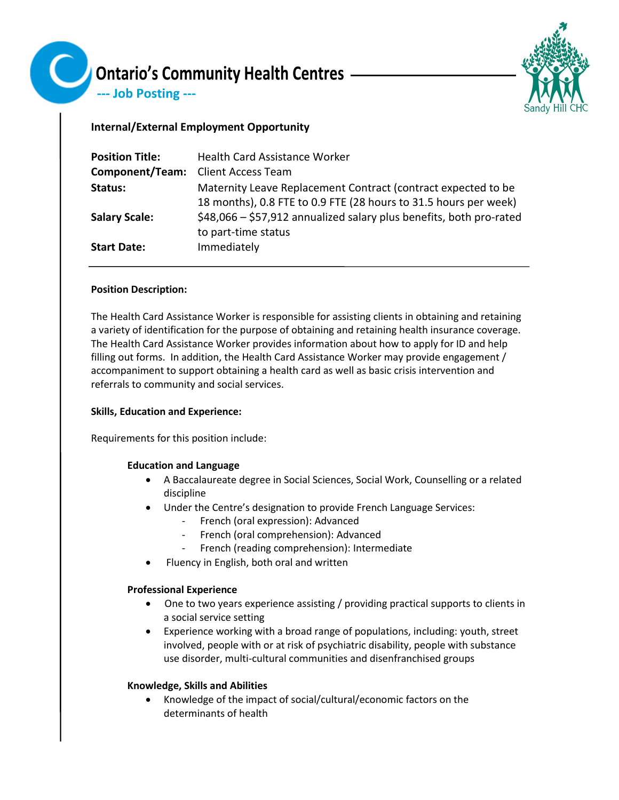

--- Job Posting ---



# **Internal/External Employment Opportunity**

| <b>Position Title:</b>                    | <b>Health Card Assistance Worker</b>                                                                                              |
|-------------------------------------------|-----------------------------------------------------------------------------------------------------------------------------------|
| <b>Component/Team:</b> Client Access Team |                                                                                                                                   |
| Status:                                   | Maternity Leave Replacement Contract (contract expected to be<br>18 months), 0.8 FTE to 0.9 FTE (28 hours to 31.5 hours per week) |
| <b>Salary Scale:</b>                      | \$48,066 - \$57,912 annualized salary plus benefits, both pro-rated<br>to part-time status                                        |
| <b>Start Date:</b>                        | Immediately                                                                                                                       |

# **Position Description:**

The Health Card Assistance Worker is responsible for assisting clients in obtaining and retaining a variety of identification for the purpose of obtaining and retaining health insurance coverage. The Health Card Assistance Worker provides information about how to apply for ID and help filling out forms. In addition, the Health Card Assistance Worker may provide engagement / accompaniment to support obtaining a health card as well as basic crisis intervention and referrals to community and social services.

# **Skills, Education and Experience:**

Requirements for this position include:

# **Education and Language**

- A Baccalaureate degree in Social Sciences, Social Work, Counselling or a related discipline
- Under the Centre's designation to provide French Language Services:
	- French (oral expression): Advanced
	- French (oral comprehension): Advanced
	- French (reading comprehension): Intermediate
- Fluency in English, both oral and written

# **Professional Experience**

- One to two years experience assisting / providing practical supports to clients in a social service setting
- Experience working with a broad range of populations, including: youth, street involved, people with or at risk of psychiatric disability, people with substance use disorder, multi-cultural communities and disenfranchised groups

# **Knowledge, Skills and Abilities**

• Knowledge of the impact of social/cultural/economic factors on the determinants of health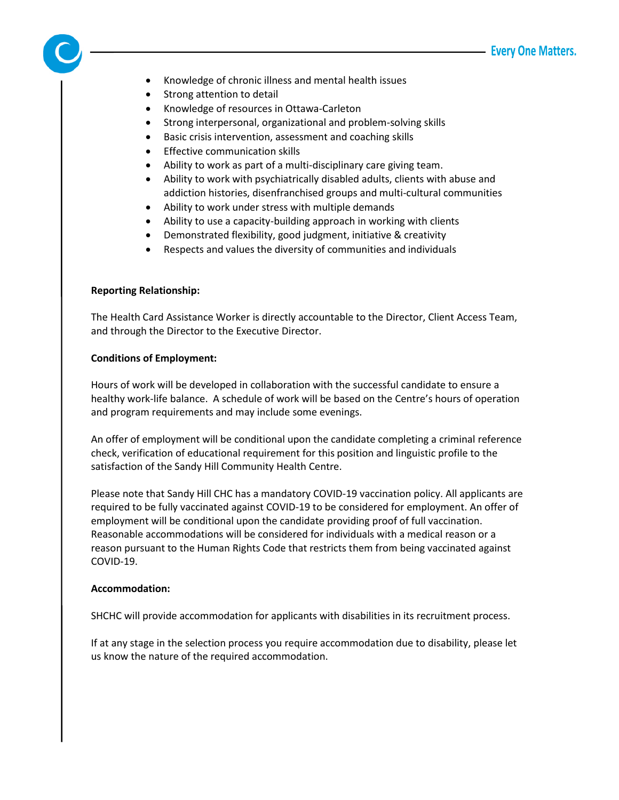- Knowledge of chronic illness and mental health issues
- Strong attention to detail
- Knowledge of resources in Ottawa-Carleton
- Strong interpersonal, organizational and problem-solving skills
- Basic crisis intervention, assessment and coaching skills
- Effective communication skills
- Ability to work as part of a multi-disciplinary care giving team.
- Ability to work with psychiatrically disabled adults, clients with abuse and addiction histories, disenfranchised groups and multi-cultural communities
- Ability to work under stress with multiple demands
- Ability to use a capacity-building approach in working with clients
- Demonstrated flexibility, good judgment, initiative & creativity
- Respects and values the diversity of communities and individuals

### **Reporting Relationship:**

The Health Card Assistance Worker is directly accountable to the Director, Client Access Team, and through the Director to the Executive Director.

### **Conditions of Employment:**

Hours of work will be developed in collaboration with the successful candidate to ensure a healthy work-life balance. A schedule of work will be based on the Centre's hours of operation and program requirements and may include some evenings.

An offer of employment will be conditional upon the candidate completing a criminal reference check, verification of educational requirement for this position and linguistic profile to the satisfaction of the Sandy Hill Community Health Centre.

Please note that Sandy Hill CHC has a mandatory COVID-19 vaccination policy. All applicants are required to be fully vaccinated against COVID-19 to be considered for employment. An offer of employment will be conditional upon the candidate providing proof of full vaccination. Reasonable accommodations will be considered for individuals with a medical reason or a reason pursuant to the Human Rights Code that restricts them from being vaccinated against COVID-19.

#### **Accommodation:**

SHCHC will provide accommodation for applicants with disabilities in its recruitment process.

If at any stage in the selection process you require accommodation due to disability, please let us know the nature of the required accommodation.